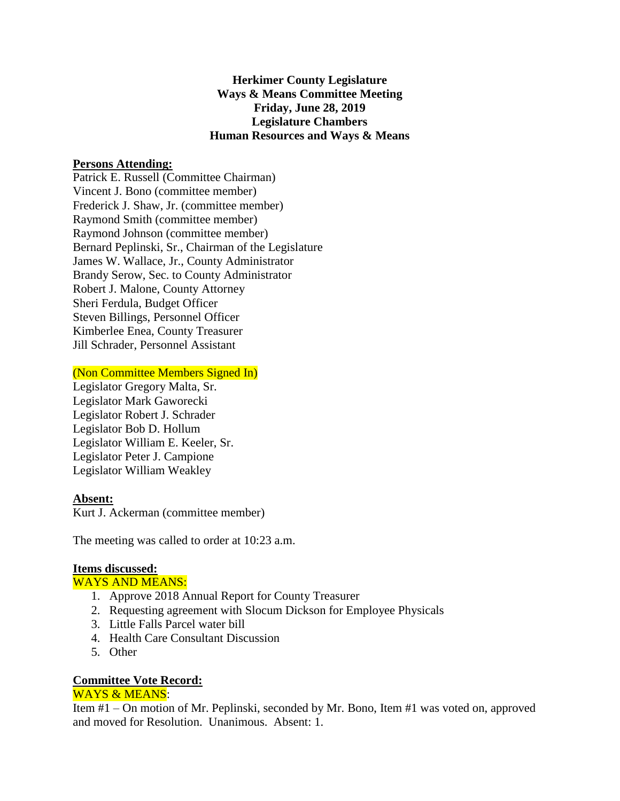**Herkimer County Legislature Ways & Means Committee Meeting Friday, June 28, 2019 Legislature Chambers Human Resources and Ways & Means**

## **Persons Attending:**

Patrick E. Russell (Committee Chairman) Vincent J. Bono (committee member) Frederick J. Shaw, Jr. (committee member) Raymond Smith (committee member) Raymond Johnson (committee member) Bernard Peplinski, Sr., Chairman of the Legislature James W. Wallace, Jr., County Administrator Brandy Serow, Sec. to County Administrator Robert J. Malone, County Attorney Sheri Ferdula, Budget Officer Steven Billings, Personnel Officer Kimberlee Enea, County Treasurer Jill Schrader, Personnel Assistant

(Non Committee Members Signed In)

Legislator Gregory Malta, Sr. Legislator Mark Gaworecki Legislator Robert J. Schrader Legislator Bob D. Hollum Legislator William E. Keeler, Sr. Legislator Peter J. Campione Legislator William Weakley

### **Absent:**

Kurt J. Ackerman (committee member)

The meeting was called to order at 10:23 a.m.

# **Items discussed:**

### WAYS AND MEANS:

- 1. Approve 2018 Annual Report for County Treasurer
- 2. Requesting agreement with Slocum Dickson for Employee Physicals
- 3. Little Falls Parcel water bill
- 4. Health Care Consultant Discussion
- 5. Other

# **Committee Vote Record:**

### WAYS & MEANS:

Item #1 – On motion of Mr. Peplinski, seconded by Mr. Bono, Item #1 was voted on, approved and moved for Resolution. Unanimous. Absent: 1.